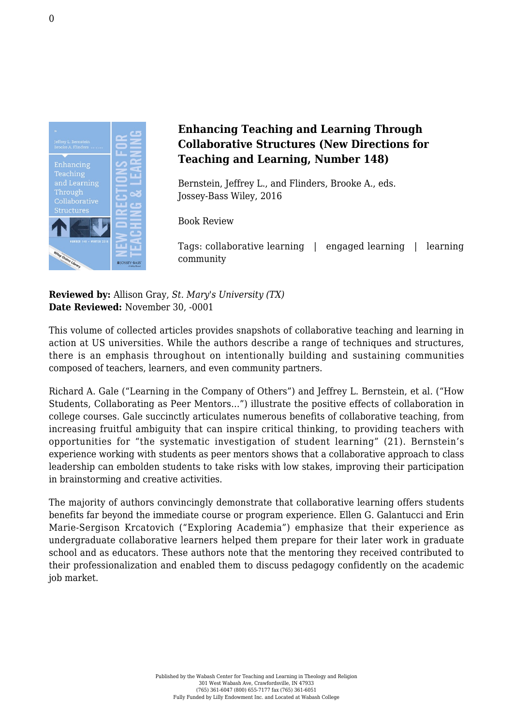

## **Enhancing Teaching and Learning Through Collaborative Structures (New Directions for Teaching and Learning, Number 148)**

Bernstein, Jeffrey L., and Flinders, Brooke A., eds. [Jossey-Bass Wiley, 2016](http://www.wiley.com/WileyCDA/WileyTitle/productCd-1119327873.html)

Book Review

Tags: collaborative learning | engaged learning | learning community

**Reviewed by:** Allison Gray, *St. Mary's University (TX)* **Date Reviewed:** November 30, -0001

This volume of collected articles provides snapshots of collaborative teaching and learning in action at US universities. While the authors describe a range of techniques and structures, there is an emphasis throughout on intentionally building and sustaining communities composed of teachers, learners, and even community partners.

Richard A. Gale ("Learning in the Company of Others") and Jeffrey L. Bernstein, et al. ("How Students, Collaborating as Peer Mentors…") illustrate the positive effects of collaboration in college courses. Gale succinctly articulates numerous benefits of collaborative teaching, from increasing fruitful ambiguity that can inspire critical thinking, to providing teachers with opportunities for "the systematic investigation of student learning" (21). Bernstein's experience working with students as peer mentors shows that a collaborative approach to class leadership can embolden students to take risks with low stakes, improving their participation in brainstorming and creative activities.

The majority of authors convincingly demonstrate that collaborative learning offers students benefits far beyond the immediate course or program experience. Ellen G. Galantucci and Erin Marie-Sergison Krcatovich ("Exploring Academia") emphasize that their experience as undergraduate collaborative learners helped them prepare for their later work in graduate school and as educators. These authors note that the mentoring they received contributed to their professionalization and enabled them to discuss pedagogy confidently on the academic job market.